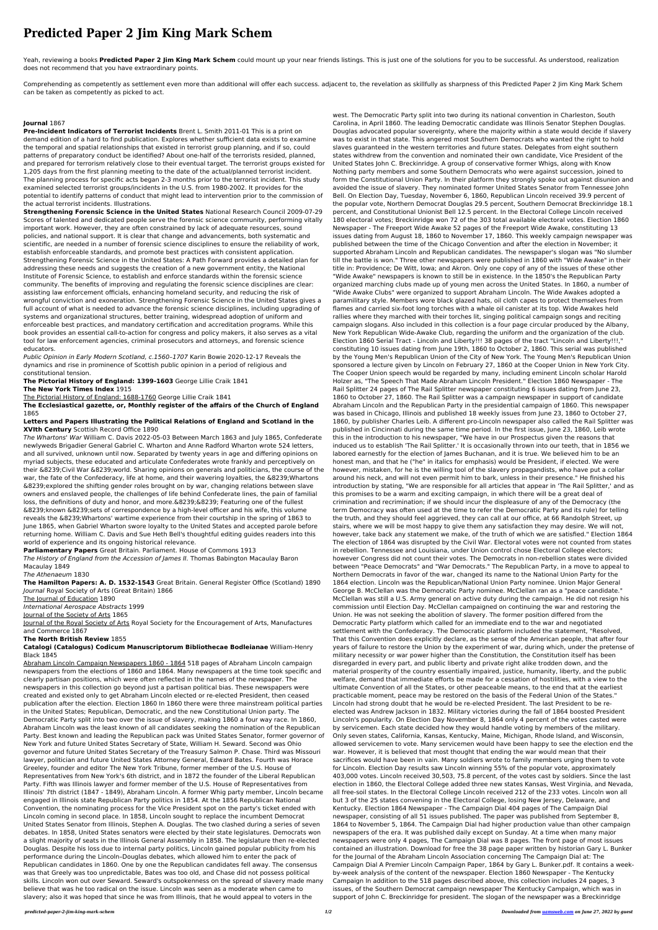# **Predicted Paper 2 Jim King Mark Schem**

Yeah, reviewing a books **Predicted Paper 2 Jim King Mark Schem** could mount up your near friends listings. This is just one of the solutions for you to be successful. As understood, realization does not recommend that you have extraordinary points.

Comprehending as competently as settlement even more than additional will offer each success. adjacent to, the revelation as skillfully as sharpness of this Predicted Paper 2 Jim King Mark Schem can be taken as competently as picked to act.

## **Journal** 1867

**Pre-Incident Indicators of Terrorist Incidents** Brent L. Smith 2011-01 This is a print on demand edition of a hard to find publication. Explores whether sufficient data exists to examine the temporal and spatial relationships that existed in terrorist group planning, and if so, could patterns of preparatory conduct be identified? About one-half of the terrorists resided, planned, and prepared for terrorism relatively close to their eventual target. The terrorist groups existed for 1,205 days from the first planning meeting to the date of the actual/planned terrorist incident. The planning process for specific acts began 2-3 months prior to the terrorist incident. This study examined selected terrorist groups/incidents in the U.S. from 1980-2002. It provides for the potential to identify patterns of conduct that might lead to intervention prior to the commission of the actual terrorist incidents. Illustrations.

**Strengthening Forensic Science in the United States** National Research Council 2009-07-29 Scores of talented and dedicated people serve the forensic science community, performing vitally important work. However, they are often constrained by lack of adequate resources, sound policies, and national support. It is clear that change and advancements, both systematic and scientific, are needed in a number of forensic science disciplines to ensure the reliability of work, establish enforceable standards, and promote best practices with consistent application. Strengthening Forensic Science in the United States: A Path Forward provides a detailed plan for addressing these needs and suggests the creation of a new government entity, the National Institute of Forensic Science, to establish and enforce standards within the forensic science community. The benefits of improving and regulating the forensic science disciplines are clear: assisting law enforcement officials, enhancing homeland security, and reducing the risk of wrongful conviction and exoneration. Strengthening Forensic Science in the United States gives a full account of what is needed to advance the forensic science disciplines, including upgrading of systems and organizational structures, better training, widespread adoption of uniform and enforceable best practices, and mandatory certification and accreditation programs. While this book provides an essential call-to-action for congress and policy makers, it also serves as a vital tool for law enforcement agencies, criminal prosecutors and attorneys, and forensic science educators.

Journal of the Royal Society of Arts Royal Society for the Encouragement of Arts, Manufactures and Commerce 1867

Public Opinion in Early Modern Scotland, c.1560–1707 Karin Bowie 2020-12-17 Reveals the dynamics and rise in prominence of Scottish public opinion in a period of religious and constitutional tension.

**The Pictorial History of England: 1399-1603** George Lillie Craik 1841 **The New York Times Index** 1915

The Pictorial History of England: 1688-1760 George Lillie Craik 1841

## **The Ecclesiastical gazette, or, Monthly register of the affairs of the Church of England** 1865

## **Letters and Papers Illustrating the Political Relations of England and Scotland in the XVIth Century** Scottish Record Office 1890

The Whartons' War William C. Davis 2022-05-03 Between March 1863 and July 1865, Confederate newlyweds Brigadier General Gabriel C. Wharton and Anne Radford Wharton wrote 524 letters, and all survived, unknown until now. Separated by twenty years in age and differing opinions on myriad subjects, these educated and articulate Confederates wrote frankly and perceptively on their &8239;Civil War &8239;world. Sharing opinions on generals and politicians, the course of the war, the fate of the Confederacy, life at home, and their wavering loyalties, the &8239;Whartons &8239;explored the shifting gender roles brought on by war, changing relations between slave owners and enslaved people, the challenges of life behind Confederate lines, the pain of familial loss, the definitions of duty and honor, and more.&8239;&8239; Featuring one of the fullest &8239;known &8239;sets of correspondence by a high-level officer and his wife, this volume reveals the &8239;Whartons' wartime experience from their courtship in the spring of 1863 to June 1865, when Gabriel Wharton swore loyalty to the United States and accepted parole before returning home. William C. Davis and Sue Heth Bell's thoughtful editing guides readers into this world of experience and its ongoing historical relevance.

**Parliamentary Papers** Great Britain. Parliament. House of Commons 1913

The History of England from the Accession of James II. Thomas Babington Macaulay Baron Macaulay 1849

The Athenaeum 1830

**The Hamilton Papers: A. D. 1532-1543** Great Britain. General Register Office (Scotland) 1890 Journal Royal Society of Arts (Great Britain) 1866

The Journal of Education 1890

International Aerospace Abstracts 1999

Journal of the Society of Arts 1865

#### **The North British Review** 1855

### **Catalogi (Catalogus) Codicum Manuscriptorum Bibliothecae Bodleianae** William-Henry Black 1845

Abraham Lincoln Campaign Newspapers 1860 - 1864 518 pages of Abraham Lincoln campaign newspapers from the elections of 1860 and 1864. Many newspapers at the time took specific and clearly partisan positions, which were often reflected in the names of the newspaper. The newspapers in this collection go beyond just a partisan political bias. These newspapers were created and existed only to get Abraham Lincoln elected or re-elected President, then ceased publication after the election. Election 1860 In 1860 there were three mainstream political parties in the United States; Republican, Democratic, and the new Constitutional Union party. The Democratic Party split into two over the issue of slavery, making 1860 a four way race. In 1860, Abraham Lincoln was the least known of all candidates seeking the nomination of the Republican Party. Best known and leading the Republican pack was United States Senator, former governor of New York and future United States Secretary of State, William H. Seward. Second was Ohio governor and future United States Secretary of the Treasury Salmon P. Chase. Third was Missouri lawyer, politician and future United States Attorney General, Edward Bates. Fourth was Horace Greeley, founder and editor The New York Tribune, former member of the U.S. House of Representatives from New York's 6th district, and in 1872 the founder of the Liberal Republican Party. Fifth was Illinois lawyer and former member of the U.S. House of Representatives from Illinois' 7th district (1847 - 1849), Abraham Lincoln. A former Whig party member, Lincoln became engaged in Illinois state Republican Party politics in 1854. At the 1856 Republican National Convention, the nominating process for the Vice President spot on the party's ticket ended with Lincoln coming in second place. In 1858, Lincoln sought to replace the incumbent Democrat United States Senator from Illinois, Stephen A. Douglas. The two clashed during a series of seven debates. In 1858, United States senators were elected by their state legislatures. Democrats won a slight majority of seats in the Illinois General Assembly in 1858. The legislature then re-elected Douglas. Despite his loss due to internal party politics, Lincoln gained popular publicity from his performance during the Lincoln–Douglas debates, which allowed him to enter the pack of Republican candidates in 1860. One by one the Republican candidates fell away. The consensus was that Greely was too unpredictable, Bates was too old, and Chase did not possess political skills. Lincoln won out over Seward. Seward's outspokenness on the spread of slavery made many believe that was he too radical on the issue. Lincoln was seen as a moderate when came to slavery; also it was hoped that since he was from Illinois, that he would appeal to voters in the

west. The Democratic Party split into two during its national convention in Charleston, South Carolina, in April 1860. The leading Democratic candidate was Illinois Senator Stephen Douglas. Douglas advocated popular sovereignty, where the majority within a state would decide if slavery was to exist in that state. This angered most Southern Democrats who wanted the right to hold slaves guaranteed in the western territories and future states. Delegates from eight southern states withdrew from the convention and nominated their own candidate, Vice President of the United States John C. Breckinridge. A group of conservative former Whigs, along with Know Nothing party members and some Southern Democrats who were against succession, joined to form the Constitutional Union Party. In their platform they strongly spoke out against disunion and avoided the issue of slavery. They nominated former United States Senator from Tennessee John Bell. On Election Day, Tuesday, November 6, 1860, Republican Lincoln received 39.9 percent of the popular vote, Northern Democrat Douglas 29.5 percent, Southern Democrat Breckinridge 18.1 percent, and Constitutional Unionist Bell 12.5 percent. In the Electoral College Lincoln received 180 electoral votes; Breckinridge won 72 of the 303 total available electoral votes. Election 1860 Newspaper - The Freeport Wide Awake 52 pages of the Freeport Wide Awake, constituting 13 issues dating from August 18, 1860 to November 17, 1860. This weekly campaign newspaper was published between the time of the Chicago Convention and after the election in November; it supported Abraham Lincoln and Republican candidates. The newspaper's slogan was "No slumber till the battle is won." Three other newspapers were published in 1860 with "Wide Awake" in their title in: Providence; De Witt, Iowa; and Akron. Only one copy of any of the issues of these other "Wide Awake" newspapers is known to still be in existence. In the 1850's the Republican Party organized marching clubs made up of young men across the United States. In 1860, a number of "Wide Awake Clubs" were organized to support Abraham Lincoln. The Wide Awakes adopted a paramilitary style. Members wore black glazed hats, oil cloth capes to protect themselves from flames and carried six-foot long torches with a whale oil canister at its top. Wide Awakes held rallies where they marched with their torches lit, singing political campaign songs and reciting campaign slogans. Also included in this collection is a four page circular produced by the Albany, New York Republican Wide-Awake Club, regarding the uniform and the organization of the club. Election 1860 Serial Tract - Lincoln and Liberty!!! 38 pages of the tract "Lincoln and Liberty!!!," constituting 10 issues dating from June 19th, 1860 to October 2, 1860. This serial was published by the Young Men's Republican Union of the City of New York. The Young Men's Republican Union sponsored a lecture given by Lincoln on February 27, 1860 at the Cooper Union in New York City. The Cooper Union speech would be regarded by many, including eminent Lincoln scholar Harold Holzer as, "The Speech That Made Abraham Lincoln President." Election 1860 Newspaper - The Rail Splitter 24 pages of The Rail Splitter newspaper constituting 6 issues dating from June 23, 1860 to October 27, 1860. The Rail Splitter was a campaign newspaper in support of candidate Abraham Lincoln and the Republican Party in the presidential campaign of 1860. This newspaper was based in Chicago, Illinois and published 18 weekly issues from June 23, 1860 to October 27, 1860, by publisher Charles Leib. A different pro-Lincoln newspaper also called the Rail Splitter was published in Cincinnati during the same time period. In the first issue, June 23, 1860, Leib wrote this in the introduction to his newspaper, "We have in our Prospectus given the reasons that induced us to establish 'The Rail Splitter.' It is occasionally thrown into our teeth, that in 1856 we labored earnestly for the election of James Buchanan, and it is true. We believed him to be an honest man, and that he ("he" in italics for emphasis) would be President, if elected. We were however, mistaken, for he is the willing tool of the slavery propagandists, who have put a collar around his neck, and will not even permit him to bark, unless in their presence." He finished his introduction by stating, "We are responsible for all articles that appear in 'The Rail Splitter,' and as this promises to be a warm and exciting campaign, in which there will be a great deal of crimination and recrimination; if we should incur the displeasure of any of the Democracy (the term Democracy was often used at the time to refer the Democratic Party and its rule) for telling the truth, and they should feel aggrieved, they can call at our office, at 66 Randolph Street, up stairs, where we will be most happy to give them any satisfaction they may desire. We will not, however, take back any statement we make, of the truth of which we are satisfied." Election 1864 The election of 1864 was disrupted by the Civil War. Electoral votes were not counted from states in rebellion. Tennessee and Louisiana, under Union control chose Electoral College electors; however Congress did not count their votes. The Democrats in non-rebellion states were divided between "Peace Democrats" and "War Democrats." The Republican Party, in a move to appeal to Northern Democrats in favor of the war, changed its name to the National Union Party for the 1864 election. Lincoln was the Republican/National Union Party nominee. Union Major General George B. McClellan was the Democratic Party nominee. McClellan ran as a "peace candidate." McClellan was still a U.S. Army general on active duty during the campaign. He did not resign his commission until Election Day. McClellan campaigned on continuing the war and restoring the Union. He was not seeking the abolition of slavery. The former position differed from the Democratic Party platform which called for an immediate end to the war and negotiated settlement with the Confederacy. The Democratic platform included the statement, "Resolved, That this Convention does explicitly declare, as the sense of the American people, that after four years of failure to restore the Union by the experiment of war, during which, under the pretense of military necessity or war power higher than the Constitution, the Constitution itself has been disregarded in every part, and public liberty and private right alike trodden down, and the material prosperity of the country essentially impaired, justice, humanity, liberty, and the public welfare, demand that immediate efforts be made for a cessation of hostilities, with a view to the ultimate Convention of all the States, or other peaceable means, to the end that at the earliest practicable moment, peace may be restored on the basis of the Federal Union of the States." Lincoln had strong doubt that he would be re-elected President. The last President to be reelected was Andrew Jackson in 1832. Military victories during the fall of 1864 boosted President Lincoln's popularity. On Election Day November 8, 1864 only 4 percent of the votes casted were by servicemen. Each state decided how they would handle voting by members of the military. Only seven states, California, Kansas, Kentucky, Maine, Michigan, Rhode Island, and Wisconsin, allowed servicemen to vote. Many servicemen would have been happy to see the election end the war. However, it is believed that most thought that ending the war would mean that their sacrifices would have been in vain. Many soldiers wrote to family members urging them to vote for Lincoln. Election Day results saw Lincoln winning 55% of the popular vote, approximately 403,000 votes. Lincoln received 30,503, 75.8 percent, of the votes cast by soldiers. Since the last election in 1860, the Electoral College added three new states Kansas, West Virginia, and Nevada, all free-soil states. In the Electoral College Lincoln received 212 of the 233 votes. Lincoln won all but 3 of the 25 states convening in the Electoral College, losing New Jersey, Delaware, and Kentucky. Election 1864 Newspaper - The Campaign Dial 404 pages of The Campaign Dial newspaper, consisting of all 51 issues published. The paper was published from September 8, 1864 to November 5, 1864. The Campaign Dial had higher production value than other campaign newspapers of the era. It was published daily except on Sunday. At a time when many major newspapers were only 4 pages, The Campaign Dial was 8 pages. The front page of most issues contained an illustration. Download for free the 38 page paper written by historian Gary L. Bunker for the Journal of the Abraham Lincoln Association concerning The Campaign Dial at: The Campaign Dial A Premier Lincoln Campaign Paper, 1864 by Gary L. Bunker.pdf. It contains a weekby-week analysis of the content of the newspaper. Election 1860 Newspaper - The Kentucky Campaign In addition to the 518 pages described above, this collection includes 24 pages, 3 issues, of the Southern Democrat campaign newspaper The Kentucky Campaign, which was in support of John C. Breckinridge for president. The slogan of the newspaper was a Breckinridge